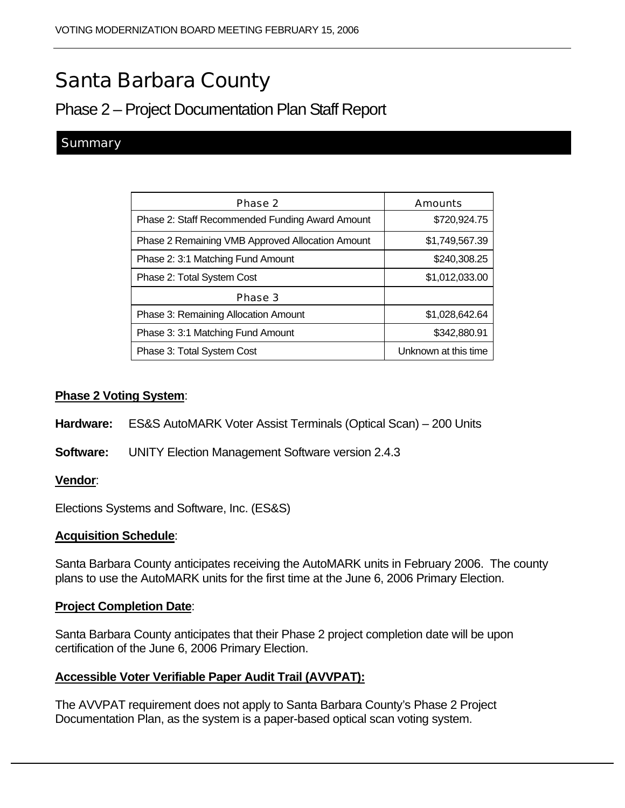# Santa Barbara County

# Phase 2 – Project Documentation Plan Staff Report

## **Summary**

| Phase 2                                          | Amounts              |
|--------------------------------------------------|----------------------|
| Phase 2: Staff Recommended Funding Award Amount  | \$720,924.75         |
| Phase 2 Remaining VMB Approved Allocation Amount | \$1,749,567.39       |
| Phase 2: 3:1 Matching Fund Amount                | \$240,308.25         |
| Phase 2: Total System Cost                       | \$1,012,033.00       |
| Phase 3                                          |                      |
| <b>Phase 3: Remaining Allocation Amount</b>      | \$1,028,642.64       |
| Phase 3: 3:1 Matching Fund Amount                | \$342,880.91         |
| Phase 3: Total System Cost                       | Unknown at this time |

#### **Phase 2 Voting System**:

- **Hardware:** ES&S AutoMARK Voter Assist Terminals (Optical Scan) 200 Units
- **Software:** UNITY Election Management Software version 2.4.3

#### **Vendor**:

Elections Systems and Software, Inc. (ES&S)

#### **Acquisition Schedule**:

Santa Barbara County anticipates receiving the AutoMARK units in February 2006. The county plans to use the AutoMARK units for the first time at the June 6, 2006 Primary Election.

#### **Project Completion Date**:

Santa Barbara County anticipates that their Phase 2 project completion date will be upon certification of the June 6, 2006 Primary Election.

#### **Accessible Voter Verifiable Paper Audit Trail (AVVPAT):**

The AVVPAT requirement does not apply to Santa Barbara County's Phase 2 Project Documentation Plan, as the system is a paper-based optical scan voting system.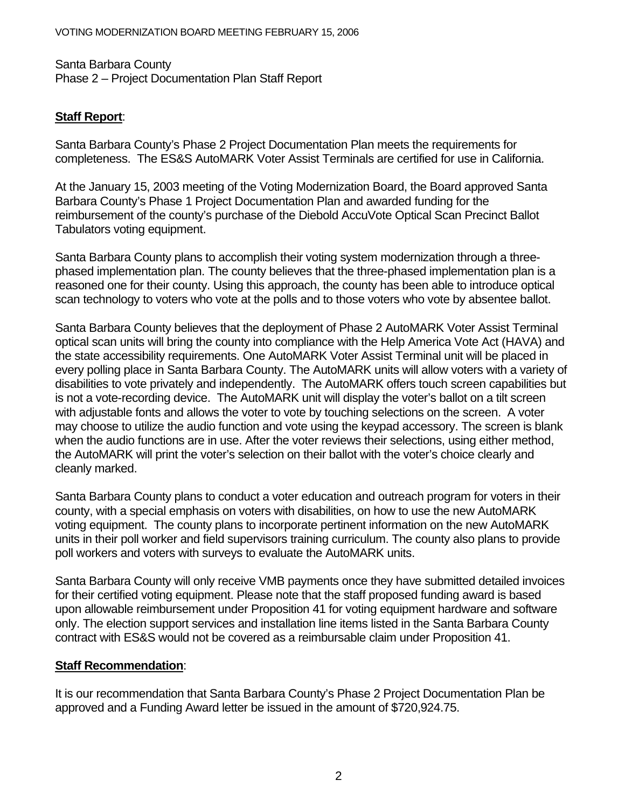Santa Barbara County Phase 2 – Project Documentation Plan Staff Report

# **Staff Report**:

Santa Barbara County's Phase 2 Project Documentation Plan meets the requirements for completeness. The ES&S AutoMARK Voter Assist Terminals are certified for use in California.

At the January 15, 2003 meeting of the Voting Modernization Board, the Board approved Santa Barbara County's Phase 1 Project Documentation Plan and awarded funding for the reimbursement of the county's purchase of the Diebold AccuVote Optical Scan Precinct Ballot Tabulators voting equipment.

Santa Barbara County plans to accomplish their voting system modernization through a threephased implementation plan. The county believes that the three-phased implementation plan is a reasoned one for their county. Using this approach, the county has been able to introduce optical scan technology to voters who vote at the polls and to those voters who vote by absentee ballot.

Santa Barbara County believes that the deployment of Phase 2 AutoMARK Voter Assist Terminal optical scan units will bring the county into compliance with the Help America Vote Act (HAVA) and the state accessibility requirements. One AutoMARK Voter Assist Terminal unit will be placed in every polling place in Santa Barbara County. The AutoMARK units will allow voters with a variety of disabilities to vote privately and independently. The AutoMARK offers touch screen capabilities but is not a vote-recording device. The AutoMARK unit will display the voter's ballot on a tilt screen with adjustable fonts and allows the voter to vote by touching selections on the screen. A voter may choose to utilize the audio function and vote using the keypad accessory. The screen is blank when the audio functions are in use. After the voter reviews their selections, using either method, the AutoMARK will print the voter's selection on their ballot with the voter's choice clearly and cleanly marked.

Santa Barbara County plans to conduct a voter education and outreach program for voters in their county, with a special emphasis on voters with disabilities, on how to use the new AutoMARK voting equipment. The county plans to incorporate pertinent information on the new AutoMARK units in their poll worker and field supervisors training curriculum. The county also plans to provide poll workers and voters with surveys to evaluate the AutoMARK units.

Santa Barbara County will only receive VMB payments once they have submitted detailed invoices for their certified voting equipment. Please note that the staff proposed funding award is based upon allowable reimbursement under Proposition 41 for voting equipment hardware and software only. The election support services and installation line items listed in the Santa Barbara County contract with ES&S would not be covered as a reimbursable claim under Proposition 41.

### **Staff Recommendation**:

It is our recommendation that Santa Barbara County's Phase 2 Project Documentation Plan be approved and a Funding Award letter be issued in the amount of \$720,924.75.